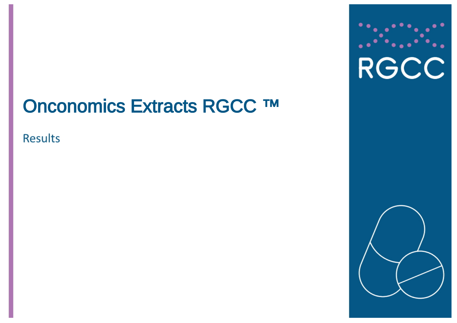# Onconomics Extracts RGCC ™

**Results** 



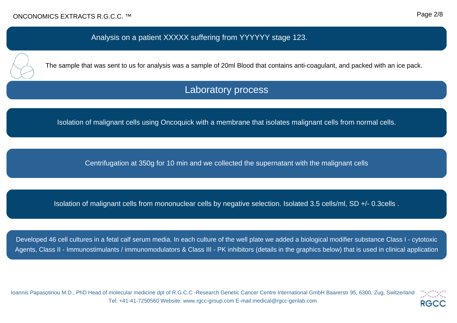### Analysis on a patient XXXXX suffering from YYYYYY stage 123.



The sample that was sent to us for analysis was a sample of 20ml Blood that contains anti-coagulant, and packed with an ice pack.

# Laboratory process

Isolation of malignant cells using Oncoquick with a membrane that isolates malignant cells from normal cells.

Centrifugation at 350g for 10 min and we collected the supernatant with the malignant cells

Isolation of malignant cells from mononuclear cells by negative selection. Isolated 3.5 cells/ml, SD +/- 0.3cells .

Developed 46 cell cultures in a fetal calf serum media. In each culture of the well plate we added a biological modifier substance Class I - cytotoxic Agents, Class II - Immunostimulants / immunomodulators & Class III - PK inhibitors (details in the graphics below) that is used in clinical application

Ioannis Papasotiriou M.D., PhD Head of molecular medicine dpt of R.G.C.C -Research Genetic Cancer Centre International GmbH Baarerstr 95, 6300, Zug, Switzerland Tel: +41-41-7250560 Website: www.rgcc-group.com E-mail:medical@rgcc-genlab.com

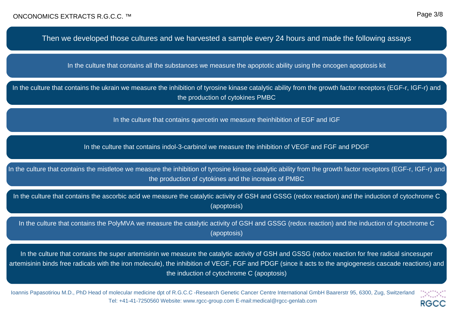**RGCC** 

Then we developed those cultures and we harvested a sample every 24 hours and made the following assays

In the culture that contains all the substances we measure the apoptotic ability using the oncogen apoptosis kit

In the culture that contains the ukrain we measure the inhibition of tyrosine kinase catalytic ability from the growth factor receptors (EGF-r, IGF-r) and the production of cytokines PMBC

In the culture that contains quercetin we measure theinhibition of EGF and IGF

In the culture that contains indol-3-carbinol we measure the inhibition of VEGF and FGF and PDGF

In the culture that contains the mistletoe we measure the inhibition of tyrosine kinase catalytic ability from the growth factor receptors (EGF-r, IGF-r) and the production of cytokines and the increase of PMBC

In the culture that contains the ascorbic acid we measure the catalytic activity of GSH and GSSG (redox reaction) and the induction of cytochrome C (apoptosis)

In the culture that contains the PolyMVA we measure the catalytic activity of GSH and GSSG (redox reaction) and the induction of cytochrome C (apoptosis)

In the culture that contains the super artemisinin we measure the catalytic activity of GSH and GSSG (redox reaction for free radical sincesuper artemisinin binds free radicals with the iron molecule), the inhibition of VEGF, FGF and PDGF (since it acts to the angiogenesis cascade reactions) and the induction of cytochrome C (apoptosis)

Ioannis Papasotiriou M.D., PhD Head of molecular medicine dpt of R.G.C.C -Research Genetic Cancer Centre International GmbH Baarerstr 95, 6300, Zug, Switzerland Tel: +41-41-7250560 Website: www.rgcc-group.com E-mail:medical@rgcc-genlab.com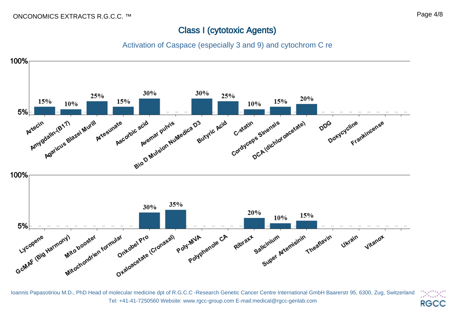## Class I (cytotoxic Agents)

Activation of Caspace (especially 3 and 9) and cytochrom C re



Ioannis Papasotiriou M.D., PhD Head of molecular medicine dpt of R.G.C.C -Research Genetic Cancer Centre International GmbH Baarerstr 95, 6300, Zug, Switzerland Tel: +41-41-7250560 Website: www.rgcc-group.com E-mail:medical@rgcc-genlab.com

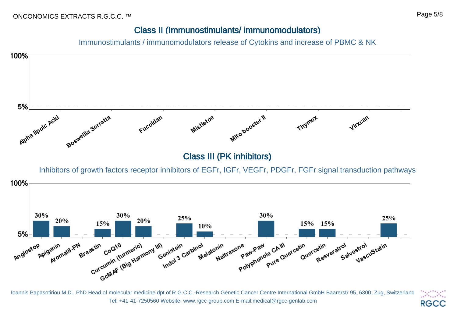## Class II (Immunostimulants/ immunomodulators)

Immunostimulants / immunomodulators release of Cytokins and increase of PBMC & NK



Ioannis Papasotiriou M.D., PhD Head of molecular medicine dpt of R.G.C.C -Research Genetic Cancer Centre International GmbH Baarerstr 95, 6300, Zug, Switzerland Tel: +41-41-7250560 Website: www.rgcc-group.com E-mail:medical@rgcc-genlab.com **RGCC**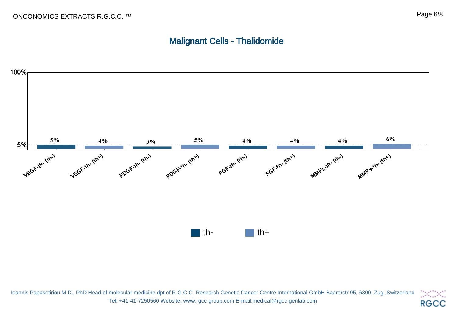# Malignant Cells - Thalidomide



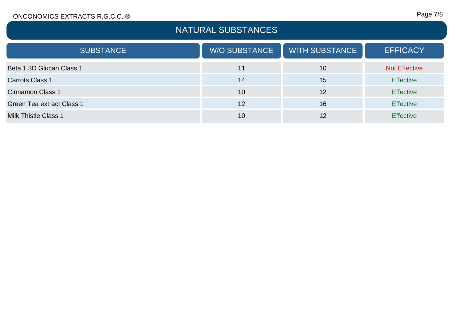#### ONCONOMICS EXTRACTS R.G.C.C. ®

## Page 7/8

| NATURAL SUBSTANCES          |                      |                       |                      |
|-----------------------------|----------------------|-----------------------|----------------------|
| <b>SUBSTANCE</b>            | <b>W/O SUBSTANCE</b> | <b>WITH SUBSTANCE</b> | <b>EFFICACY</b>      |
| Beta 1.3D Glucan Class 1    | 11                   | 10                    | <b>Not Effective</b> |
| Carrots Class 1             | 14                   | 15                    | <b>Effective</b>     |
| <b>Cinnamon Class 1</b>     | 10                   | 12                    | <b>Effective</b>     |
| Green Tea extract Class 1   | 12                   | 16                    | <b>Effective</b>     |
| <b>Milk Thistle Class 1</b> | 10                   | 12                    | <b>Effective</b>     |